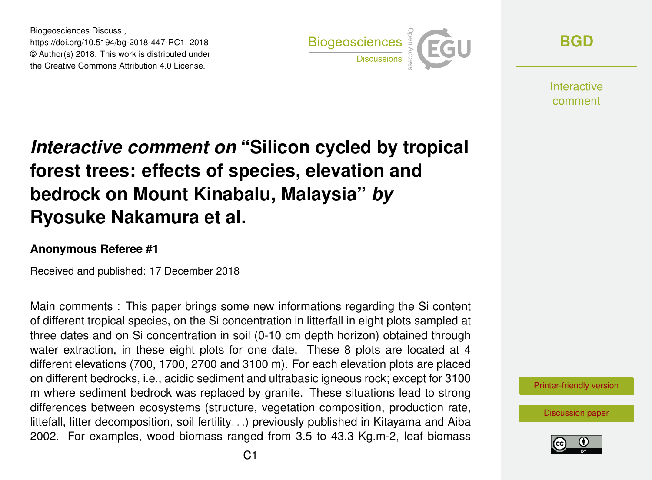Biogeosciences Discuss., https://doi.org/10.5194/bg-2018-447-RC1, 2018 © Author(s) 2018. This work is distributed under the Creative Commons Attribution 4.0 License.



**[BGD](https://www.biogeosciences-discuss.net/)**

**Interactive** comment

## *Interactive comment on* **"Silicon cycled by tropical forest trees: effects of species, elevation and bedrock on Mount Kinabalu, Malaysia"** *by* **Ryosuke Nakamura et al.**

## **Anonymous Referee #1**

Received and published: 17 December 2018

Main comments : This paper brings some new informations regarding the Si content of different tropical species, on the Si concentration in litterfall in eight plots sampled at three dates and on Si concentration in soil (0-10 cm depth horizon) obtained through water extraction, in these eight plots for one date. These 8 plots are located at 4 different elevations (700, 1700, 2700 and 3100 m). For each elevation plots are placed on different bedrocks, i.e., acidic sediment and ultrabasic igneous rock; except for 3100 m where sediment bedrock was replaced by granite. These situations lead to strong differences between ecosystems (structure, vegetation composition, production rate, littefall, litter decomposition, soil fertility. . .) previously published in Kitayama and Aiba 2002. For examples, wood biomass ranged from 3.5 to 43.3 Kg.m-2, leaf biomass

[Printer-friendly version](https://www.biogeosciences-discuss.net/bg-2018-447/bg-2018-447-RC1-print.pdf)

[Discussion paper](https://www.biogeosciences-discuss.net/bg-2018-447)

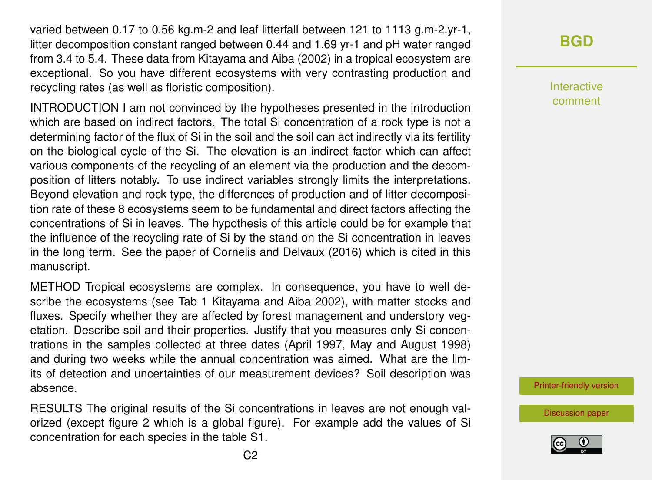varied between 0.17 to 0.56 kg.m-2 and leaf litterfall between 121 to 1113 g.m-2.yr-1, litter decomposition constant ranged between 0.44 and 1.69 yr-1 and pH water ranged from 3.4 to 5.4. These data from Kitayama and Aiba (2002) in a tropical ecosystem are exceptional. So you have different ecosystems with very contrasting production and recycling rates (as well as floristic composition).

INTRODUCTION I am not convinced by the hypotheses presented in the introduction which are based on indirect factors. The total Si concentration of a rock type is not a determining factor of the flux of Si in the soil and the soil can act indirectly via its fertility on the biological cycle of the Si. The elevation is an indirect factor which can affect various components of the recycling of an element via the production and the decomposition of litters notably. To use indirect variables strongly limits the interpretations. Beyond elevation and rock type, the differences of production and of litter decomposition rate of these 8 ecosystems seem to be fundamental and direct factors affecting the concentrations of Si in leaves. The hypothesis of this article could be for example that the influence of the recycling rate of Si by the stand on the Si concentration in leaves in the long term. See the paper of Cornelis and Delvaux (2016) which is cited in this manuscript.

METHOD Tropical ecosystems are complex. In consequence, you have to well describe the ecosystems (see Tab 1 Kitayama and Aiba 2002), with matter stocks and fluxes. Specify whether they are affected by forest management and understory vegetation. Describe soil and their properties. Justify that you measures only Si concentrations in the samples collected at three dates (April 1997, May and August 1998) and during two weeks while the annual concentration was aimed. What are the limits of detection and uncertainties of our measurement devices? Soil description was absence.

RESULTS The original results of the Si concentrations in leaves are not enough valorized (except figure 2 which is a global figure). For example add the values of Si concentration for each species in the table S1.

## **[BGD](https://www.biogeosciences-discuss.net/)**

Interactive comment

[Printer-friendly version](https://www.biogeosciences-discuss.net/bg-2018-447/bg-2018-447-RC1-print.pdf)

[Discussion paper](https://www.biogeosciences-discuss.net/bg-2018-447)